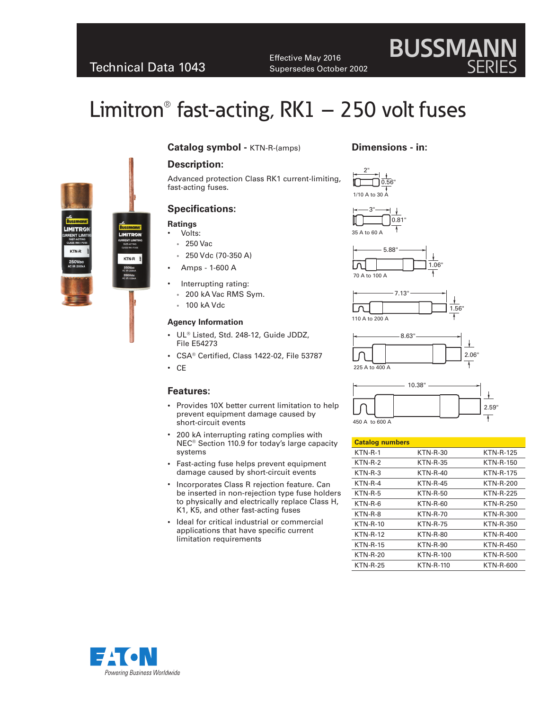# Technical Data 1043

Effective May 2016 Supersedes October 2002

# Limitron<sup>®</sup> fast-acting,  $RK1 - 250$  volt fuses





# **Catalog symbol -** KTN-R-(amps)

# **Description:**

Advanced protection Class RK1 current-limiting, fast-acting fuses.

# **Specifications:**

#### **Ratings**

- Volts: • 250 Vac
- 
- 250 Vdc (70-350 A)
- Amps 1-600 A
- Interrupting rating:
	- 200 kA Vac RMS Sym.
- 100 kA Vdc

#### **Agency Information**

- UL® Listed, Std. 248-12, Guide JDDZ, File E54273
- CSA® Certified, Class 1422-02, File 53787
- CE

#### **Features:**

- Provides 10X better current limitation to help prevent equipment damage caused by short-circuit events
- 200 kA interrupting rating complies with NEC® Section 110.9 for today's large capacity systems
- Fast-acting fuse helps prevent equipment damage caused by short-circuit events
- Incorporates Class R rejection feature. Can be inserted in non-rejection type fuse holders to physically and electrically replace Class H, K1, K5, and other fast-acting fuses
- Ideal for critical industrial or commercial applications that have specific current limitation requirements

### **Dimensions - in:**













| <b>Catalog numbers</b> |                  |                  |
|------------------------|------------------|------------------|
| $KTN-R-1$              | <b>KTN-R-30</b>  | <b>KTN-R-125</b> |
| $KTN-R-2$              | <b>KTN-R-35</b>  | <b>KTN-R-150</b> |
| $KTN-R-3$              | <b>KTN-R-40</b>  | <b>KTN-R-175</b> |
| $KTN-R-4$              | <b>KTN-R-45</b>  | <b>KTN-R-200</b> |
| $KTN-R-5$              | <b>KTN-R-50</b>  | <b>KTN-R-225</b> |
| $KTN-R-6$              | $KTN-R-60$       | <b>KTN-R-250</b> |
| KTN-R-8                | KTN-R-70         | KTN-R-300        |
| <b>KTN-R-10</b>        | <b>KTN-R-75</b>  | KTN-R-350        |
| <b>KTN-R-12</b>        | <b>KTN-R-80</b>  | KTN-R-400        |
| $KTN-R-15$             | <b>KTN-R-90</b>  | <b>KTN-R-450</b> |
| <b>KTN-R-20</b>        | <b>KTN-R-100</b> | <b>KTN-R-500</b> |
| <b>KTN-R-25</b>        | <b>KTN-R-110</b> | KTN-R-600        |



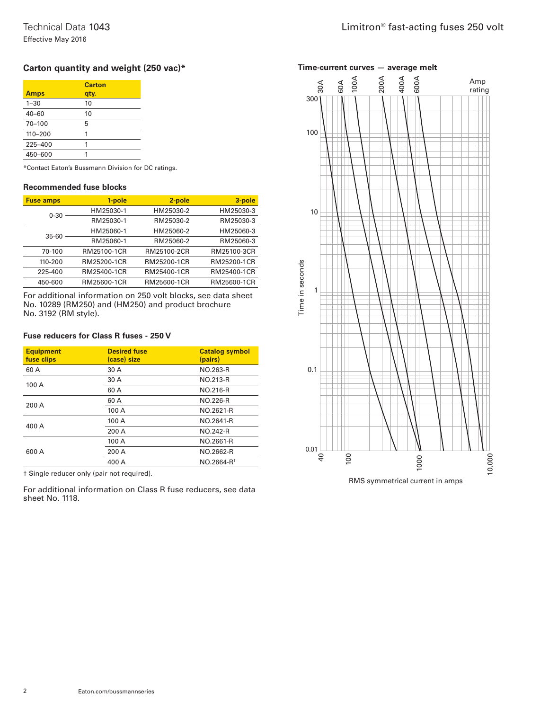# **Carton quantity and weight (250 vac)\***

| Carton<br>qty. |
|----------------|
| 10             |
| 10             |
| 5              |
|                |
|                |
|                |
|                |

\*Contact Eaton's Bussmann Division for DC ratings.

#### **Recommended fuse blocks**

| <b>Fuse amps</b> | 1-pole      | 2-pole      | 3-pole      |
|------------------|-------------|-------------|-------------|
| $0 - 30$         | HM25030-1   | HM25030-2   | HM25030-3   |
|                  | RM25030-1   | RM25030-2   | RM25030-3   |
| $35 - 60$        | HM25060-1   | HM25060-2   | HM25060-3   |
|                  | RM25060-1   | RM25060-2   | RM25060-3   |
| 70-100           | RM25100-1CR | RM25100-2CR | RM25100-3CR |
| 110-200          | RM25200-1CR | RM25200-1CR | RM25200-1CR |
| 225-400          | RM25400-1CR | RM25400-1CR | RM25400-1CR |
| 450-600          | RM25600-1CR | RM25600-1CR | RM25600-1CR |

For additional information on 250 volt blocks, see data sheet No. 10289 (RM250) and (HM250) and product brochure No. 3192 (RM style).

#### **Fuse reducers for Class R fuses - 250 V**

| <b>Equipment</b><br>fuse clips | <b>Desired fuse</b><br>(case) size | <b>Catalog symbol</b><br>(pairs) |
|--------------------------------|------------------------------------|----------------------------------|
| 60 A                           | 30 A                               | NO.263-R                         |
| 100A                           | 30 A                               | NO.213-R                         |
|                                | 60 A                               | NO.216-R                         |
| 200 A                          | 60 A                               | NO.226-R                         |
|                                | 100 A                              | NO.2621-R                        |
| 400 A                          | 100 A                              | NO.2641-R                        |
|                                | 200 A                              | <b>NO.242-R</b>                  |
| 600 A                          | 100 A                              | NO.2661-R                        |
|                                | 200 A                              | NO.2662-R                        |
|                                | 400 A                              | NO.2664-R <sup>+</sup>           |

† Single reducer only (pair not required).

For additional information on Class R fuse reducers, see data sheet No. 1118.